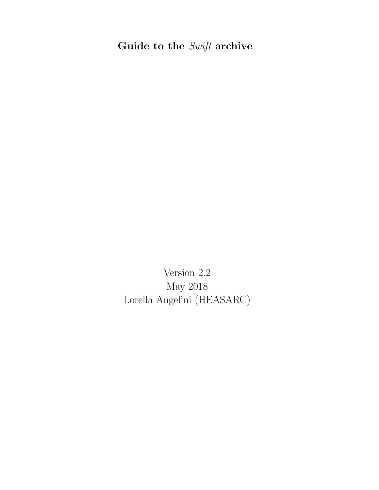# Guide to the  $\it Swift$  archive

Version 2.2 May 2018 Lorella Angelini (HEASARC)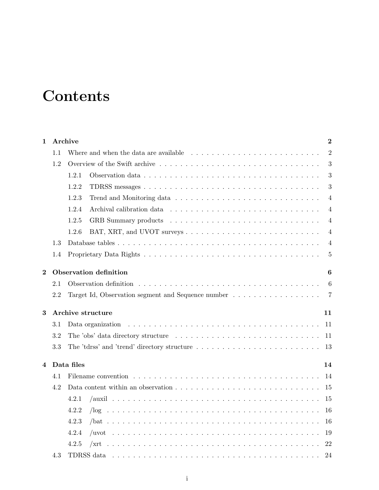# **Contents**

| 1        |     | Archive<br>$\overline{2}$                                                                                                |
|----------|-----|--------------------------------------------------------------------------------------------------------------------------|
|          | 1.1 | Where and when the data are available $\ldots \ldots \ldots \ldots \ldots \ldots \ldots \ldots \ldots$<br>$\overline{2}$ |
|          | 1.2 | 3                                                                                                                        |
|          |     | 1.2.1<br>3                                                                                                               |
|          |     | 3<br>1.2.2                                                                                                               |
|          |     | 1.2.3<br>$\overline{4}$                                                                                                  |
|          |     | 1.2.4<br>4                                                                                                               |
|          |     | 1.2.5<br>$\overline{4}$                                                                                                  |
|          |     | 1.2.6<br>$\overline{4}$                                                                                                  |
|          | 1.3 | $\overline{4}$                                                                                                           |
|          | 1.4 | $\overline{5}$                                                                                                           |
| $\bf{2}$ |     | Observation definition<br>6                                                                                              |
|          | 2.1 | 6                                                                                                                        |
|          | 2.2 | Target Id, Observation segment and Sequence number<br>7                                                                  |
| 3        |     | Archive structure<br>11                                                                                                  |
|          | 3.1 | Data organization<br>11                                                                                                  |
|          | 3.2 | The 'obs' data directory structure $\ldots \ldots \ldots \ldots \ldots \ldots \ldots \ldots \ldots \ldots$<br>11         |
|          | 3.3 | 13                                                                                                                       |
| 4        |     | Data files<br>14                                                                                                         |
|          | 4.1 | 14                                                                                                                       |
|          | 4.2 | 15                                                                                                                       |
|          |     | 4.2.1<br>15                                                                                                              |
|          |     | 4.2.2<br>16                                                                                                              |
|          |     | 4.2.3<br>16                                                                                                              |
|          |     | 4.2.4<br>19                                                                                                              |
|          |     | 4.2.5<br>22                                                                                                              |
|          | 4.3 | TDRSS data<br>24                                                                                                         |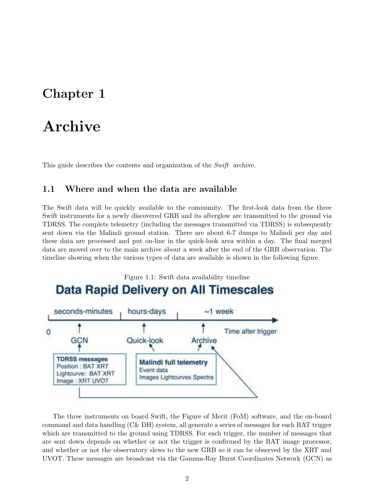# Chapter 1

# Archive

This guide describes the contents and organization of the Swift archive.

### 1.1 Where and when the data are available

The Swift data will be quickly available to the community. The first-look data from the three Swift instruments for a newly discovered GRB and its afterglow are transmitted to the ground via TDRSS. The complete telemetry (including the messages transmitted via TDRSS) is subsequently sent down via the Malindi ground station. There are about 6-7 dumps to Malindi per day and these data are processed and put on-line in the quick-look area within a day. The final merged data are moved over to the main archive about a week after the end of the GRB observation. The timeline showing when the various types of data are available is shown in the following figure.



The three instruments on board Swift, the Figure of Merit (FoM) software, and the on-board command and data handling (C& DH) system, all generate a series of messages for each BAT trigger which are transmitted to the ground using TDRSS. For each trigger, the number of messages that are sent down depends on whether or not the trigger is confirmed by the BAT image processor, and whether or not the observatory slews to the new GRB so it can be observed by the XRT and UVOT. These messages are broadcast via the Gamma-Ray Burst Coordinates Network (GCN) as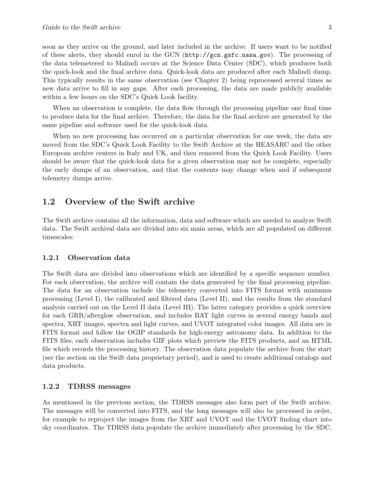soon as they arrive on the ground, and later included in the archive. If users want to be notified of these alerts, they should enrol in the GCN (http://gcn.gsfc.nasa.gov). The processing of the data telemetered to Malindi occurs at the Science Data Center (SDC), which produces both the quick-look and the final archive data. Quick-look data are produced after each Malindi dump. This typically results in the same observation (see Chapter 2) being reprocessed several times as new data arrive to fill in any gaps. After each processing, the data are made publicly available within a few hours on the SDC's Quick Look facility.

When an observation is complete, the data flow through the processing pipeline one final time to produce data for the final archive. Therefore, the data for the final archive are generated by the same pipeline and software used for the quick-look data.

When no new processing has occurred on a particular observation for one week, the data are moved from the SDC's Quick Look Facility to the Swift Archive at the HEASARC and the other European archive centers in Italy and UK, and then removed from the Quick Look Facility. Users should be aware that the quick-look data for a given observation may not be complete, especially the early dumps of an observation, and that the contents may change when and if subsequent telemetry dumps arrive.

## 1.2 Overview of the Swift archive

The Swift archive contains all the information, data and software which are needed to analyze Swift data. The Swift archival data are divided into six main areas, which are all populated on different timescales:

#### 1.2.1 Observation data

The Swift data are divided into observations which are identified by a specific sequence number. For each observation, the archive will contain the data generated by the final processing pipeline. The data for an observation include the telemetry converted into FITS format with minimum processing (Level I), the calibrated and filtered data (Level II), and the results from the standard analysis carried out on the Level II data (Level III). The latter category provides a quick overview for each GRB/afterglow observation, and includes BAT light curves in several energy bands and spectra, XRT images, spectra and light curves, and UVOT integrated color images. All data are in FITS format and follow the OGIP standards for high-energy astronomy data. In addition to the FITS files, each observation includes GIF plots which preview the FITS products, and an HTML file which records the processing history. The observation data populate the archive from the start (see the section on the Swift data proprietary period), and is used to create additional catalogs and data products.

#### 1.2.2 TDRSS messages

As mentioned in the previous section, the TDRSS messages also form part of the Swift archive. The messages will be converted into FITS, and the long messages will also be processed in order, for example to reproject the images from the XRT and UVOT and the UVOT finding chart into sky coordinates. The TDRSS data populate the archive immediately after processing by the SDC.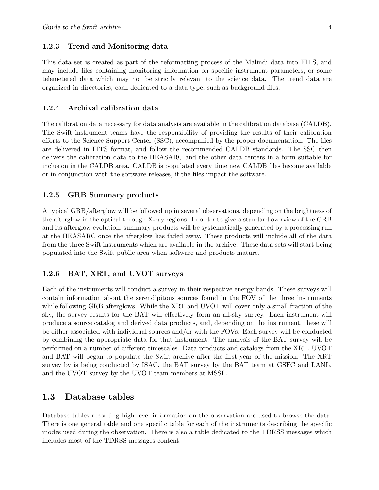#### 1.2.3 Trend and Monitoring data

This data set is created as part of the reformatting process of the Malindi data into FITS, and may include files containing monitoring information on specific instrument parameters, or some telemetered data which may not be strictly relevant to the science data. The trend data are organized in directories, each dedicated to a data type, such as background files.

#### 1.2.4 Archival calibration data

The calibration data necessary for data analysis are available in the calibration database (CALDB). The Swift instrument teams have the responsibility of providing the results of their calibration efforts to the Science Support Center (SSC), accompanied by the proper documentation. The files are delivered in FITS format, and follow the recommended CALDB standards. The SSC then delivers the calibration data to the HEASARC and the other data centers in a form suitable for inclusion in the CALDB area. CALDB is populated every time new CALDB files become available or in conjunction with the software releases, if the files impact the software.

#### 1.2.5 GRB Summary products

A typical GRB/afterglow will be followed up in several observations, depending on the brightness of the afterglow in the optical through X-ray regions. In order to give a standard overview of the GRB and its afterglow evolution, summary products will be systematically generated by a processing run at the HEASARC once the afterglow has faded away. These products will include all of the data from the three Swift instruments which are available in the archive. These data sets will start being populated into the Swift public area when software and products mature.

#### 1.2.6 BAT, XRT, and UVOT surveys

Each of the instruments will conduct a survey in their respective energy bands. These surveys will contain information about the serendipitous sources found in the FOV of the three instruments while following GRB afterglows. While the XRT and UVOT will cover only a small fraction of the sky, the survey results for the BAT will effectively form an all-sky survey. Each instrument will produce a source catalog and derived data products, and, depending on the instrument, these will be either associated with individual sources and/or with the FOVs. Each survey will be conducted by combining the appropriate data for that instrument. The analysis of the BAT survey will be performed on a number of different timescales. Data products and catalogs from the XRT, UVOT and BAT will began to populate the Swift archive after the first year of the mission. The XRT survey by is being conducted by ISAC, the BAT survey by the BAT team at GSFC and LANL, and the UVOT survey by the UVOT team members at MSSL.

### 1.3 Database tables

Database tables recording high level information on the observation are used to browse the data. There is one general table and one specific table for each of the instruments describing the specific modes used during the observation. There is also a table dedicated to the TDRSS messages which includes most of the TDRSS messages content.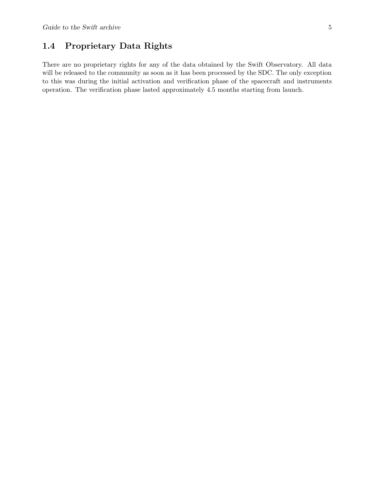## 1.4 Proprietary Data Rights

There are no proprietary rights for any of the data obtained by the Swift Observatory. All data will be released to the community as soon as it has been processed by the SDC. The only exception to this was during the initial activation and verification phase of the spacecraft and instruments operation. The verification phase lasted approximately 4.5 months starting from launch.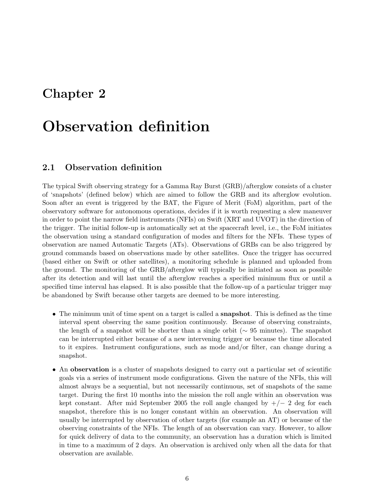# Chapter 2

# Observation definition

## 2.1 Observation definition

The typical Swift observing strategy for a Gamma Ray Burst (GRB)/afterglow consists of a cluster of 'snapshots' (defined below) which are aimed to follow the GRB and its afterglow evolution. Soon after an event is triggered by the BAT, the Figure of Merit (FoM) algorithm, part of the observatory software for autonomous operations, decides if it is worth requesting a slew maneuver in order to point the narrow field instruments (NFIs) on Swift (XRT and UVOT) in the direction of the trigger. The initial follow-up is automatically set at the spacecraft level, i.e., the FoM initiates the observation using a standard configuration of modes and filters for the NFIs. These types of observation are named Automatic Targets (ATs). Observations of GRBs can be also triggered by ground commands based on observations made by other satellites. Once the trigger has occurred (based either on Swift or other satellites), a monitoring schedule is planned and uploaded from the ground. The monitoring of the GRB/afterglow will typically be initiated as soon as possible after its detection and will last until the afterglow reaches a specified minimum flux or until a specified time interval has elapsed. It is also possible that the follow-up of a particular trigger may be abandoned by Swift because other targets are deemed to be more interesting.

- The minimum unit of time spent on a target is called a **snapshot**. This is defined as the time interval spent observing the same position continuously. Because of observing constraints, the length of a snapshot will be shorter than a single orbit ( $\sim 95$  minutes). The snapshot can be interrupted either because of a new intervening trigger or because the time allocated to it expires. Instrument configurations, such as mode and/or filter, can change during a snapshot.
- An observation is a cluster of snapshots designed to carry out a particular set of scientific goals via a series of instrument mode configurations. Given the nature of the NFIs, this will almost always be a sequential, but not necessarily continuous, set of snapshots of the same target. During the first 10 months into the mission the roll angle within an observation was kept constant. After mid September 2005 the roll angle changed by  $+/- 2$  deg for each snapshot, therefore this is no longer constant within an observation. An observation will usually be interrupted by observation of other targets (for example an AT) or because of the observing constraints of the NFIs. The length of an observation can vary. However, to allow for quick delivery of data to the community, an observation has a duration which is limited in time to a maximum of 2 days. An observation is archived only when all the data for that observation are available.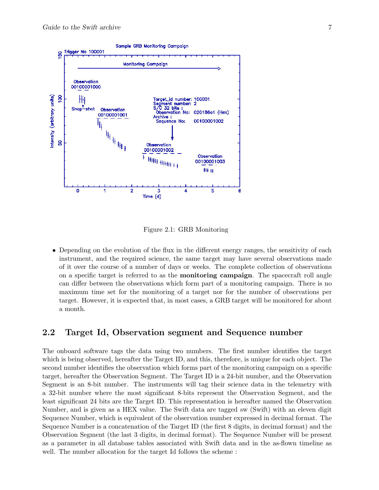

Figure 2.1: GRB Monitoring

• Depending on the evolution of the flux in the different energy ranges, the sensitivity of each instrument, and the required science, the same target may have several observations made of it over the course of a number of days or weeks. The complete collection of observations on a specific target is referred to as the monitoring campaign. The spacecraft roll angle can differ between the observations which form part of a monitoring campaign. There is no maximum time set for the monitoring of a target nor for the number of observations per target. However, it is expected that, in most cases, a GRB target will be monitored for about a month.

### 2.2 Target Id, Observation segment and Sequence number

The onboard software tags the data using two numbers. The first number identifies the target which is being observed, hereafter the Target ID, and this, therefore, is unique for each object. The second number identifies the observation which forms part of the monitoring campaign on a specific target, hereafter the Observation Segment. The Target ID is a 24-bit number, and the Observation Segment is an 8-bit number. The instruments will tag their science data in the telemetry with a 32-bit number where the most significant 8-bits represent the Observation Segment, and the least significant 24 bits are the Target ID. This representation is hereafter named the Observation Number, and is given as a HEX value. The Swift data are tagged sw (Swift) with an eleven digit Sequence Number, which is equivalent of the observation number expressed in decimal format. The Sequence Number is a concatenation of the Target ID (the first 8 digits, in decimal format) and the Observation Segment (the last 3 digits, in decimal format). The Sequence Number will be present as a parameter in all database tables associated with Swift data and in the as-flown timeline as well. The number allocation for the target Id follows the scheme :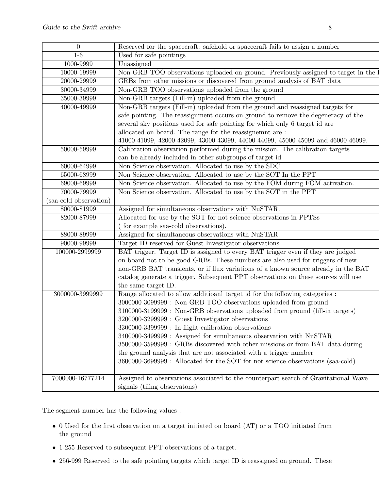| $\overline{0}$         | Reserved for the spacecraft: safehold or spacecraft fails to assign a number             |  |  |
|------------------------|------------------------------------------------------------------------------------------|--|--|
| $1-6$                  | Used for safe pointings                                                                  |  |  |
| 1000-9999              | Unassigned                                                                               |  |  |
| 10000-19999            | Non-GRB TOO observations uploaded on ground. Previously assigned to target in the        |  |  |
| 20000-29999            | GRBs from other missions or discovered from ground analysis of BAT data                  |  |  |
| 30000-34999            | Non-GRB TOO observations uploaded from the ground                                        |  |  |
| 35000-39999            | Non-GRB targets (Fill-in) uploaded from the ground                                       |  |  |
| 40000-49999            | Non-GRB targets (Fill-in) uploaded from the ground and reassigned targets for            |  |  |
|                        | safe pointing. The reassignment occurs on ground to remove the degeneracy of the         |  |  |
|                        | several sky positions used for safe pointing for which only 6 target id are              |  |  |
|                        | allocated on board. The range for the reassignemnt are:                                  |  |  |
|                        | $41000-41099,\ 42000-42099,\ 43000-43099,\ 44000-44099,\ 45000-45099$ and $46000-46099.$ |  |  |
| 50000-59999            | Calibration observation performed during the mission. The calibration targets            |  |  |
|                        | can be already included in other subgroups of target id                                  |  |  |
| 60000-64999            | Non Science observation. Allocated to use by the SDC                                     |  |  |
| 65000-68999            | Non Science observation. Allocated to use by the SOT In the PPT                          |  |  |
| 69000-69999            | Non Science observation. Allocated to use by the FOM during FOM activation.              |  |  |
| 70000-79999            | Non Science observation. Allocated to use by the SOT in the PPT                          |  |  |
| (saa-cold observation) |                                                                                          |  |  |
| 80000-81999            | Assigned for simultaneous observations with NuSTAR.                                      |  |  |
| 82000-87999            | Allocated for use by the SOT for not science observations in PPTSs                       |  |  |
|                        | for example saa-cold observations).                                                      |  |  |
| 88000-89999            | Assigned for simultaneous observations with NuSTAR.                                      |  |  |
| 90000-99999            | Target ID reserved for Guest Investigator observations                                   |  |  |
| 100000-2999999         | BAT trigger. Target ID is assigned to every BAT trigger even if they are judged          |  |  |
|                        | on board not to be good GRBs. These numbers are also used for triggers of new            |  |  |
|                        | non-GRB BAT transients, or if flux variations of a known source already in the BAT       |  |  |
|                        | catalog generate a trigger. Subsequent PPT observations on these sources will use        |  |  |
|                        | the same target ID.                                                                      |  |  |
| 3000000-3999999        | Range allocated to allow additioanl target id for the following categories :             |  |  |
|                        | 3000000-3099999 : Non-GRB TOO observations uploaded from ground                          |  |  |
|                        | 3100000-3199999 : Non-GRB observations uploaded from ground (fill-in targets)            |  |  |
|                        | 3200000-3299999 : Guest Investigator observations                                        |  |  |
|                        | 3300000-3399999 : In flight calibration observations                                     |  |  |
|                        | 3400000-3499999 : Assigned for simultaneous observation with NuSTAR                      |  |  |
|                        | 3500000-3599999 : GRBs discovered with other missions or from BAT data during            |  |  |
|                        | the ground analysis that are not associated with a trigger number                        |  |  |
|                        | 3600000-3699999: Allocated for the SOT for not science observations (saa-cold)           |  |  |
|                        |                                                                                          |  |  |
| 7000000-16777214       | Assigned to observations associated to the counterpart search of Gravitational Wave      |  |  |
|                        | signals (tiling observatons)                                                             |  |  |
|                        |                                                                                          |  |  |

The segment number has the following values :

- 0 Used for the first observation on a target initiated on board (AT) or a TOO initiated from the ground
- 1-255 Reserved to subsequent PPT observations of a target.
- 256-999 Reserved to the safe pointing targets which target ID is reassigned on ground. These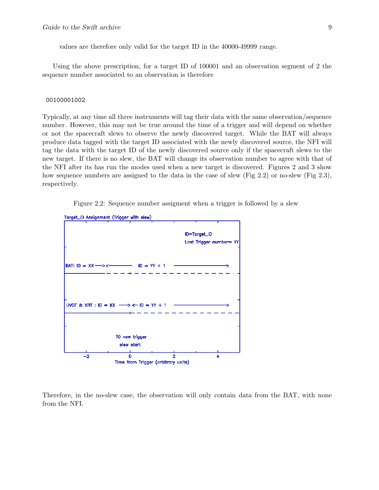values are therefore only valid for the target ID in the 40000-49999 range.

Using the above prescription, for a target ID of 100001 and an observation segment of 2 the sequence number associated to an observation is therefore

#### 00100001002

Typically, at any time all three instruments will tag their data with the same observation/sequence number. However, this may not be true around the time of a trigger and will depend on whether or not the spacecraft slews to observe the newly discovered target. While the BAT will always produce data tagged with the target ID associated with the newly discovered source, the NFI will tag the data with the target ID of the newly discovered source only if the spacecraft slews to the new target. If there is no slew, the BAT will change its observation number to agree with that of the NFI after its has run the modes used when a new target is discovered. Figures 2 and 3 show how sequence numbers are assigned to the data in the case of slew (Fig 2.2) or no-slew (Fig 2.3), respectively.

Figure 2.2: Sequence number assigment when a trigger is followed by a slew



Therefore, in the no-slew case, the observation will only contain data from the BAT, with none from the NFI.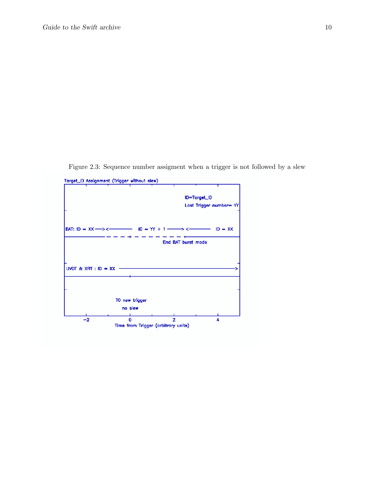Figure 2.3: Sequence number assigment when a trigger is not followed by a slew

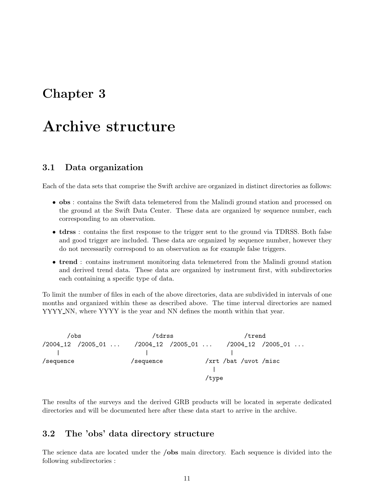# Chapter 3

# Archive structure

## 3.1 Data organization

Each of the data sets that comprise the Swift archive are organized in distinct directories as follows:

- obs : contains the Swift data telemetered from the Malindi ground station and processed on the ground at the Swift Data Center. These data are organized by sequence number, each corresponding to an observation.
- tdrss : contains the first response to the trigger sent to the ground via TDRSS. Both false and good trigger are included. These data are organized by sequence number, however they do not necessarily correspond to an observation as for example false triggers.
- trend : contains instrument monitoring data telemetered from the Malindi ground station and derived trend data. These data are organized by instrument first, with subdirectories each containing a specific type of data.

To limit the number of files in each of the above directories, data are subdivided in intervals of one months and organized within these as described above. The time interval directories are named YYYY NN, where YYYY is the year and NN defines the month within that year.



The results of the surveys and the derived GRB products will be located in seperate dedicated directories and will be documented here after these data start to arrive in the archive.

## 3.2 The 'obs' data directory structure

The science data are located under the **/obs** main directory. Each sequence is divided into the following subdirectories :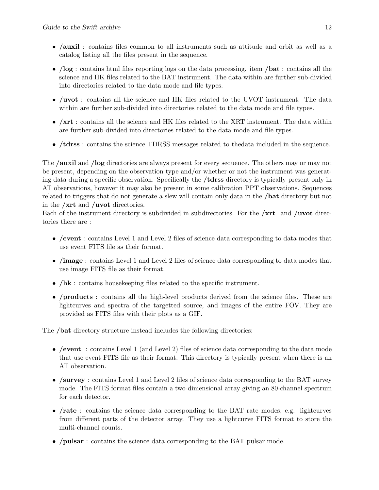- /auxil : contains files common to all instruments such as attitude and orbit as well as a catalog listing all the files present in the sequence.
- /log : contains html files reporting logs on the data processing. item /bat : contains all the science and HK files related to the BAT instrument. The data within are further sub-divided into directories related to the data mode and file types.
- /uvot: contains all the science and HK files related to the UVOT instrument. The data within are further sub-divided into directories related to the data mode and file types.
- /xrt : contains all the science and HK files related to the XRT instrument. The data within are further sub-divided into directories related to the data mode and file types.
- /tdrss : contains the science TDRSS messages related to thedata included in the sequence.

The /auxil and /log directories are always present for every sequence. The others may or may not be present, depending on the observation type and/or whether or not the instrument was generating data during a specific observation. Specifically the /tdrss directory is typically present only in AT observations, however it may also be present in some calibration PPT observations. Sequences related to triggers that do not generate a slew will contain only data in the /bat directory but not in the /xrt and /uvot directories.

Each of the instrument directory is subdivided in subdirectories. For the  $/\text{xrt}$  and  $/\text{uvot}$  directories there are :

- /event : contains Level 1 and Level 2 files of science data corresponding to data modes that use event FITS file as their format.
- /image : contains Level 1 and Level 2 files of science data corresponding to data modes that use image FITS file as their format.
- /hk : contains housekeeping files related to the specific instrument.
- /**products** : contains all the high-level products derived from the science files. These are lightcurves and spectra of the targetted source, and images of the entire FOV. They are provided as FITS files with their plots as a GIF.

The /bat directory structure instead includes the following directories:

- /event : contains Level 1 (and Level 2) files of science data corresponding to the data mode that use event FITS file as their format. This directory is typically present when there is an AT observation.
- /survey : contains Level 1 and Level 2 files of science data corresponding to the BAT survey mode. The FITS format files contain a two-dimensional array giving an 80-channel spectrum for each detector.
- /rate : contains the science data corresponding to the BAT rate modes, e.g. lightcurves from different parts of the detector array. They use a lightcurve FITS format to store the multi-channel counts.
- /pulsar : contains the science data corresponding to the BAT pulsar mode.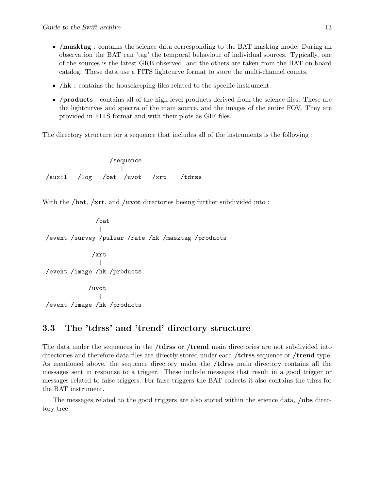- /masktag : contains the science data corresponding to the BAT masktag mode. During an observation the BAT can 'tag' the temporal behaviour of individual sources. Typically, one of the sources is the latest GRB observed, and the others are taken from the BAT on-board catalog. These data use a FITS lightcurve format to store the multi-channel counts.
- /hk : contains the house keeping files related to the specific instrument.
- /products : contains all of the high-level products derived from the science files. These are the lightcurves and spectra of the main source, and the images of the entire FOV. They are provided in FITS format and with their plots as GIF files.

The directory structure for a sequence that includes all of the instruments is the following :

/sequence | /auxil /log /bat /uvot /xrt /tdrss

With the **/bat, /xrt**, and **/uvot** directories beeing further subdivided into:

/bat | /event /survey /pulsar /rate /hk /masktag /products

/xrt | /event /image /hk /products

/uvot | /event /image /hk /products

### 3.3 The 'tdrss' and 'trend' directory structure

The data under the sequences in the **/tdrss** or **/trend** main directories are not subdivided into directories and therefore data files are directly stored under each **/tdrss** sequence or **/trend** type. As mentioned above, the sequence directory under the /tdrss main directory contains all the messages sent in response to a trigger. These include messages that result in a good trigger or messages related to false triggers. For false triggers the BAT collects it also contains the tdrss for the BAT instrument.

The messages related to the good triggers are also stored within the science data, **/obs** directory tree.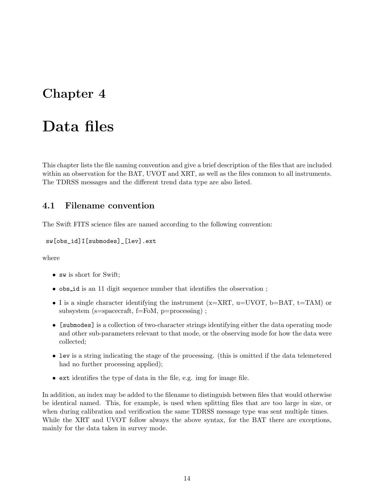# Chapter 4

# Data files

This chapter lists the file naming convention and give a brief description of the files that are included within an observation for the BAT, UVOT and XRT, as well as the files common to all instruments. The TDRSS messages and the different trend data type are also listed.

## 4.1 Filename convention

The Swift FITS science files are named according to the following convention:

```
sw[obs_id]I[submodes]_[lev].ext
```
where

- sw is short for Swift;
- obs\_id is an 11 digit sequence number that identifies the observation;
- I is a single character identifying the instrument ( $x= XRT$ ,  $u=UVOT$ ,  $b=BAT$ ,  $t= TAM$ ) or subsystem (s=spacecraft, f=FoM, p=processing);
- [submodes] is a collection of two-character strings identifying either the data operating mode and other sub-parameters relevant to that mode, or the observing mode for how the data were collected;
- lev is a string indicating the stage of the processing. (this is omitted if the data telemetered had no further processing applied);
- ext identifies the type of data in the file, e.g. img for image file.

In addition, an index may be added to the filename to distinguish between files that would otherwise be identical named. This, for example, is used when splitting files that are too large in size, or when during calibration and verification the same TDRSS message type was sent multiple times. While the XRT and UVOT follow always the above syntax, for the BAT there are exceptions, mainly for the data taken in survey mode.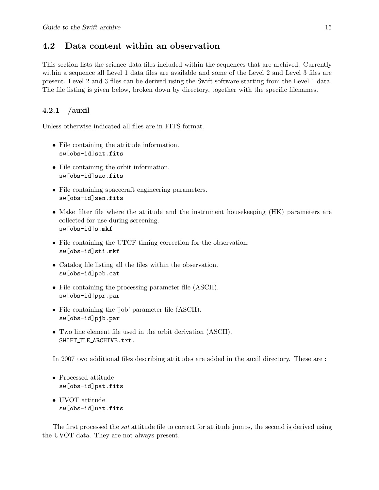## 4.2 Data content within an observation

This section lists the science data files included within the sequences that are archived. Currently within a sequence all Level 1 data files are available and some of the Level 2 and Level 3 files are present. Level 2 and 3 files can be derived using the Swift software starting from the Level 1 data. The file listing is given below, broken down by directory, together with the specific filenames.

### 4.2.1 /auxil

Unless otherwise indicated all files are in FITS format.

- File containing the attitude information. sw[obs-id]sat.fits
- File containing the orbit information. sw[obs-id]sao.fits
- File containing spacecraft engineering parameters. sw[obs-id]sen.fits
- Make filter file where the attitude and the instrument house keeping (HK) parameters are collected for use during screening. sw[obs-id]s.mkf
- File containing the UTCF timing correction for the observation. sw[obs-id]sti.mkf
- Catalog file listing all the files within the observation. sw[obs-id]pob.cat
- File containing the processing parameter file (ASCII). sw[obs-id]ppr.par
- File containing the 'job' parameter file (ASCII). sw[obs-id]pjb.par
- Two line element file used in the orbit derivation (ASCII). SWIFT\_TLE\_ARCHIVE.txt.

In 2007 two additional files describing attitudes are added in the auxil directory. These are :

- Processed attitude sw[obs-id]pat.fits
- UVOT attitude sw[obs-id]uat.fits

The first processed the *sat* attitude file to correct for attitude jumps, the second is derived using the UVOT data. They are not always present.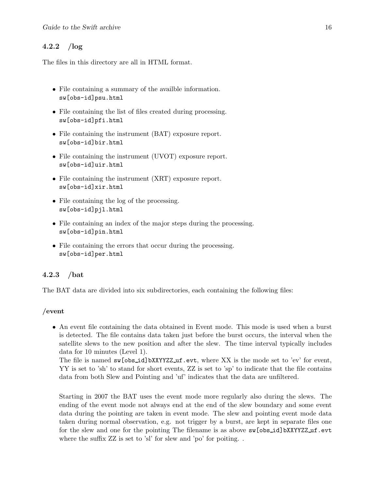### 4.2.2 /log

The files in this directory are all in HTML format.

- File containing a summary of the availble information. sw[obs-id]psu.html
- File containing the list of files created during processing. sw[obs-id]pfi.html
- File containing the instrument (BAT) exposure report. sw[obs-id]bir.html
- File containing the instrument (UVOT) exposure report. sw[obs-id]uir.html
- File containing the instrument (XRT) exposure report. sw[obs-id]xir.html
- File containing the log of the processing. sw[obs-id]pjl.html
- File containing an index of the major steps during the processing. sw[obs-id]pin.html
- File containing the errors that occur during the processing. sw[obs-id]per.html

#### 4.2.3 /bat

The BAT data are divided into six subdirectories, each containing the following files:

#### /event

• An event file containing the data obtained in Event mode. This mode is used when a burst is detected. The file contains data taken just before the burst occurs, the interval when the satellite slews to the new position and after the slew. The time interval typically includes data for 10 minutes (Level 1).

The file is named sw[obs\_id]bXXYYZZ\_uf.evt, where XX is the mode set to 'ev' for event, YY is set to 'sh' to stand for short events, ZZ is set to 'sp' to indicate that the file contains data from both Slew and Pointing and 'uf' indicates that the data are unfiltered.

Starting in 2007 the BAT uses the event mode more regularly also during the slews. The ending of the event mode not always end at the end of the slew boundary and some event data during the pointing are taken in event mode. The slew and pointing event mode data taken during normal observation, e.g. not trigger by a burst, are kept in separate files one for the slew and one for the pointing The filename is as above  $\mathsf{sw}[\mathtt{obs_id}]$ bXXYYZZ uf.evt where the suffix ZZ is set to 'sl' for slew and 'po' for poiting...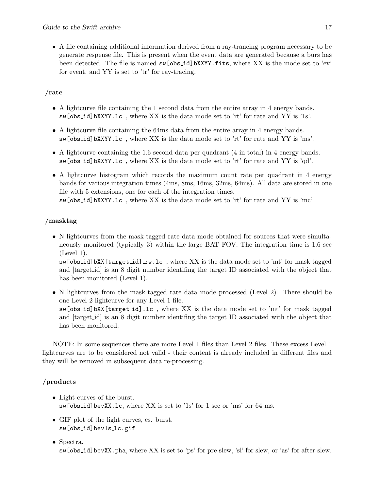• A file containing additional information derived from a ray-trancing program necessary to be generate respense file. This is present when the event data are generated because a burs has been detected. The file is named sw[obs id]bXXYY.fits, where XX is the mode set to 'ev' for event, and YY is set to 'tr' for ray-tracing.

## /rate

- A lightcurve file containing the 1 second data from the entire array in 4 energy bands. sw[obs id]bXXYY.lc , where XX is the data mode set to 'rt' for rate and YY is '1s'.
- A lightcurve file containing the 64ms data from the entire array in 4 energy bands. sw[obs id]bXXYY.lc , where XX is the data mode set to 'rt' for rate and YY is 'ms'.
- A lightcurve containing the 1.6 second data per quadrant (4 in total) in 4 energy bands. sw[obs id]bXXYY.lc , where XX is the data mode set to 'rt' for rate and YY is 'qd'.
- A lightcurve histogram which records the maximum count rate per quadrant in 4 energy bands for various integration times (4ms, 8ms, 16ms, 32ms, 64ms). All data are stored in one file with 5 extensions, one for each of the integration times. sw[obs id]bXXYY.lc , where XX is the data mode set to 'rt' for rate and YY is 'mc'

## /masktag

• N lightcurves from the mask-tagged rate data mode obtained for sources that were simultaneously monitored (typically 3) within the large BAT FOV. The integration time is 1.6 sec (Level 1).

sw[obs\_id]bXX[target\_id]\_rw.lc, where XX is the data mode set to 'mt' for mask tagged and [target id] is an 8 digit number identifing the target ID associated with the object that has been monitored (Level 1).

• N lightcurves from the mask-tagged rate data mode processed (Level 2). There should be one Level 2 lightcurve for any Level 1 file. sw[obs id]bXX[target id].lc , where XX is the data mode set to 'mt' for mask tagged and [target id] is an 8 digit number identifing the target ID associated with the object that has been monitored.

NOTE: In some sequences there are more Level 1 files than Level 2 files. These excess Level 1 lightcurves are to be considered not valid - their content is already included in different files and they will be removed in subsequent data re-processing.

## /products

- Light curves of the burst. sw[obs id]bevXX.lc, where XX is set to '1s' for 1 sec or 'ms' for 64 ms.
- GIF plot of the light curves, es. burst. sw[obs id]bev1s lc.gif
- Spectra. sw[obs id]bevXX.pha, where XX is set to 'ps' for pre-slew, 'sl' for slew, or 'as' for after-slew.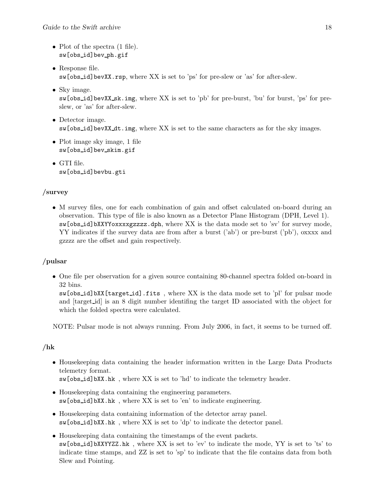- Plot of the spectra  $(1 \text{ file})$ . sw[obs id]bev ph.gif
- Response file. sw[obs id]bevXX.rsp, where XX is set to 'ps' for pre-slew or 'as' for after-slew.
- Sky image. sw[obs id]bevXX sk.img, where XX is set to 'pb' for pre-burst, 'bu' for burst, 'ps' for preslew, or 'as' for after-slew.
- Detector image. sw[obs id]bevXX dt.img, where XX is set to the same characters as for the sky images.
- Plot image sky image, 1 file sw[obs id]bev skim.gif
- GTI file. sw[obs id]bevbu.gti

## /survey

• M survey files, one for each combination of gain and offset calculated on-board during an observation. This type of file is also known as a Detector Plane Histogram (DPH, Level 1). sw[obs id]bXXYYoxxxxgzzzz.dph, where XX is the data mode set to 'sv' for survey mode, YY indicates if the survey data are from after a burst ('ab') or pre-burst ('pb'), oxxxx and gzzzz are the offset and gain respectively.

## /pulsar

• One file per observation for a given source containing 80-channel spectra folded on-board in 32 bins.

sw[obs id]bXX[target id].fits , where XX is the data mode set to 'pl' for pulsar mode and [target id] is an 8 digit number identifing the target ID associated with the object for which the folded spectra were calculated.

NOTE: Pulsar mode is not always running. From July 2006, in fact, it seems to be turned off.

## /hk

- Housekeeping data containing the header information written in the Large Data Products telemetry format. sw[obs id]bXX.hk , where XX is set to 'hd' to indicate the telemetry header.
- Housekeeping data containing the engineering parameters. sw[obs id]bXX.hk , where XX is set to 'en' to indicate engineering.
- Housekeeping data containing information of the detector array panel. sw[obs id]bXX.hk , where XX is set to 'dp' to indicate the detector panel.
- Housekeeping data containing the timestamps of the event packets. sw[obs id]bXXYYZZ.hk , where XX is set to 'ev' to indicate the mode, YY is set to 'ts' to indicate time stamps, and ZZ is set to 'sp' to indicate that the file contains data from both Slew and Pointing.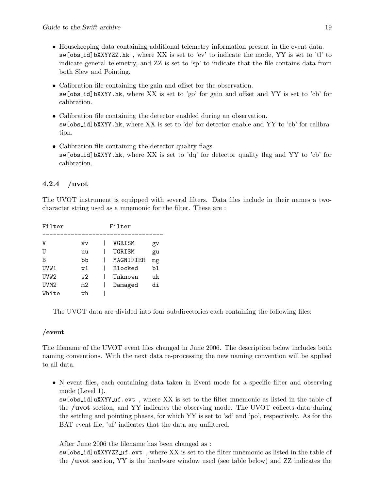- Housekeeping data containing additional telemetry information present in the event data. sw[obs id]bXXYYZZ.hk , where XX is set to 'ev' to indicate the mode, YY is set to 'tl' to indicate general telemetry, and ZZ is set to 'sp' to indicate that the file contains data from both Slew and Pointing.
- Calibration file containing the gain and offset for the observation. sw[obs id]bXXYY.hk, where XX is set to 'go' for gain and offset and YY is set to 'cb' for calibration.
- Calibration file containing the detector enabled during an observation. sw[obs id]bXXYY.hk, where XX is set to 'de' for detector enable and YY to 'cb' for calibration.
- Calibration file containing the detector quality flags sw[obs id]bXXYY.hk, where XX is set to 'dq' for detector quality flag and YY to 'cb' for calibration.

## 4.2.4 /uvot

The UVOT instrument is equipped with several filters. Data files include in their names a twocharacter string used as a mnemonic for the filter. These are :

| Filter           |     | Filter    |    |
|------------------|-----|-----------|----|
|                  |     |           |    |
| V                | vv  | VGRISM    | gv |
| U                | uu  | UGRISM    | gu |
| В                | bb  | MAGNIFIER | mg |
| UVW1             | w1  | Blocked   | bl |
| UVW2             | w2. | Unknown   | uk |
| UVM <sub>2</sub> | m2  | Damaged   | di |
| White            | wh  |           |    |

The UVOT data are divided into four subdirectories each containing the following files:

## /event

The filename of the UVOT event files changed in June 2006. The description below includes both naming conventions. With the next data re-processing the new naming convention will be applied to all data.

• N event files, each containing data taken in Event mode for a specific filter and observing mode (Level 1).

sw[obs id]uXXYY uf.evt , where XX is set to the filter mnemonic as listed in the table of the /uvot section, and YY indicates the observing mode. The UVOT collects data during the settling and pointing phases, for which YY is set to 'sd' and 'po', respectively. As for the BAT event file, 'uf' indicates that the data are unfiltered.

After June 2006 the filename has been changed as :

sw[obs id]uXXYYZZ uf.evt , where XX is set to the filter mnemonic as listed in the table of the /uvot section, YY is the hardware window used (see table below) and ZZ indicates the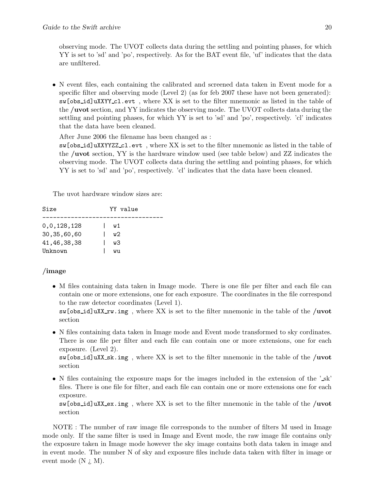observing mode. The UVOT collects data during the settling and pointing phases, for which YY is set to 'sd' and 'po', respectively. As for the BAT event file, 'uf' indicates that the data are unfiltered.

• N event files, each containing the calibrated and screened data taken in Event mode for a specific filter and observing mode (Level 2) (as for feb 2007 these have not been generated): sw[obs id]uXXYY cl.evt , where XX is set to the filter mnemonic as listed in the table of the /uvot section, and YY indicates the observing mode. The UVOT collects data during the settling and pointing phases, for which YY is set to 'sd' and 'po', respectively. 'cl' indicates that the data have been cleaned.

After June 2006 the filename has been changed as :

sw[obs id]uXXYYZZ cl.evt , where XX is set to the filter mnemonic as listed in the table of the /uvot section, YY is the hardware window used (see table below) and ZZ indicates the observing mode. The UVOT collects data during the settling and pointing phases, for which YY is set to 'sd' and 'po', respectively. 'cl' indicates that the data have been cleaned.

The uvot hardware window sizes are:

| Size           | YY value |
|----------------|----------|
|                |          |
| 0,0,128,128    | w1       |
| 30, 35, 60, 60 | w2.      |
| 41, 46, 38, 38 | w3       |
| Unknown        | WIJ      |

#### /image

• M files containing data taken in Image mode. There is one file per filter and each file can contain one or more extensions, one for each exposure. The coordinates in the file correspond to the raw detector coordinates (Level 1).

 $\text{sw}[\text{obs_id}]$ uXX\_rw.img, where XX is set to the filter mnemonic in the table of the /uvot section

• N files containing data taken in Image mode and Event mode transformed to sky cordinates. There is one file per filter and each file can contain one or more extensions, one for each exposure. (Level 2).

sw[obs id]uXX sk.img , where XX is set to the filter mnemonic in the table of the /uvot section

• N files containing the exposure maps for the images included in the extension of the '\_sk' files. There is one file for filter, and each file can contain one or more extensions one for each exposure.

sw[obs id]uXX ex.img , where XX is set to the filter mnemonic in the table of the /uvot section

NOTE : The number of raw image file corresponds to the number of filters M used in Image mode only. If the same filter is used in Image and Event mode, the raw image file contains only the exposure taken in Image mode however the sky image contains both data taken in image and in event mode. The number N of sky and exposure files include data taken with filter in image or event mode (N  $_i$  M).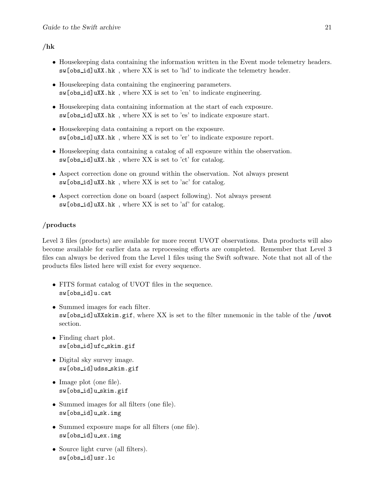### /hk

- Housekeeping data containing the information written in the Event mode telemetry headers. sw[obs id]uXX.hk , where XX is set to 'hd' to indicate the telemetry header.
- Housekeeping data containing the engineering parameters. sw[obs id]uXX.hk , where XX is set to 'en' to indicate engineering.
- Housekeeping data containing information at the start of each exposure. sw[obs id]uXX.hk , where XX is set to 'es' to indicate exposure start.
- Housekeeping data containing a report on the exposure. sw[obs id]uXX.hk , where XX is set to 'er' to indicate exposure report.
- Housekeeping data containing a catalog of all exposure within the observation. sw[obs id]uXX.hk , where XX is set to 'ct' for catalog.
- Aspect correction done on ground within the observation. Not always present sw[obs id]uXX.hk , where XX is set to 'ac' for catalog.
- Aspect correction done on board (aspect following). Not always present sw[obs id]uXX.hk , where XX is set to 'af' for catalog.

### /products

Level 3 files (products) are available for more recent UVOT observations. Data products will also become available for earlier data as reprocessing efforts are completed. Remember that Level 3 files can always be derived from the Level 1 files using the Swift software. Note that not all of the products files listed here will exist for every sequence.

- FITS format catalog of UVOT files in the sequence. sw[obs id]u.cat
- Summed images for each filter.  $\text{sw}[\text{obs_id}]$ uXXskim.gif, where XX is set to the filter mnemonic in the table of the /uvot section.
- Finding chart plot. sw[obs id]ufc skim.gif
- Digital sky survey image. sw[obs id]udss skim.gif
- Image plot (one file). sw[obs id]u skim.gif
- Summed images for all filters (one file). sw[obs id]u sk.img
- Summed exposure maps for all filters (one file). sw[obs id]u ex.img
- Source light curve (all filters). sw[obs id]usr.lc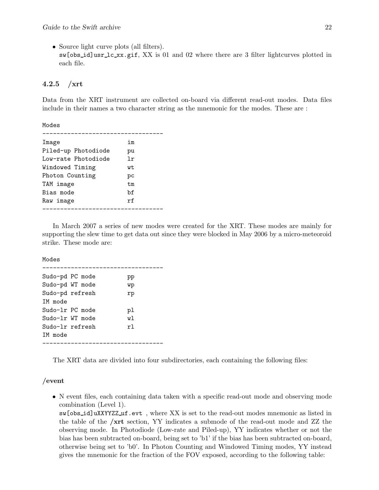• Source light curve plots (all filters).  $s$ w[obs\_id]usr\_lc\_xx.gif, XX is 01 and 02 where there are 3 filter lightcurves plotted in each file.

#### 4.2.5  $/$ xrt

Data from the XRT instrument are collected on-board via different read-out modes. Data files include in their names a two character string as the mnemonic for the modes. These are :

Modes

| Image               | im  |
|---------------------|-----|
| Piled-up Photodiode | pu  |
| Low-rate Photodiode | 1r  |
| Windowed Timing     | wt. |
| Photon Counting     | рc  |
| TAM image           | t.m |
| Bias mode           | bf  |
| Raw image           | rf  |
|                     |     |

In March 2007 a series of new modes were created for the XRT. These modes are mainly for supporting the slew time to get data out since they were blocked in May 2006 by a micro-meteoroid strike. These mode are:

Modes

| Sudo-pd PC mode<br>Sudo-pd WT mode<br>TM mode | Sudo-pd refresh | pp<br>wp<br>rp  |
|-----------------------------------------------|-----------------|-----------------|
| Sudo-1r PC mode<br>Sudo-1r WT mode            | Sudo-lr refresh | рl<br>w1<br>r1. |
| TM mode                                       |                 |                 |

The XRT data are divided into four subdirectories, each containing the following files:

#### /event

• N event files, each containing data taken with a specific read-out mode and observing mode combination (Level 1).

sw[obs id]uXXYYZZ uf.evt , where XX is set to the read-out modes mnemonic as listed in the table of the /xrt section, YY indicates a submode of the read-out mode and ZZ the observing mode. In Photodiode (Low-rate and Piled-up), YY indicates whether or not the bias has been subtracted on-board, being set to 'b1' if the bias has been subtracted on-board, otherwise being set to 'b0'. In Photon Counting and Windowed Timing modes, YY instead gives the mnemonic for the fraction of the FOV exposed, according to the following table: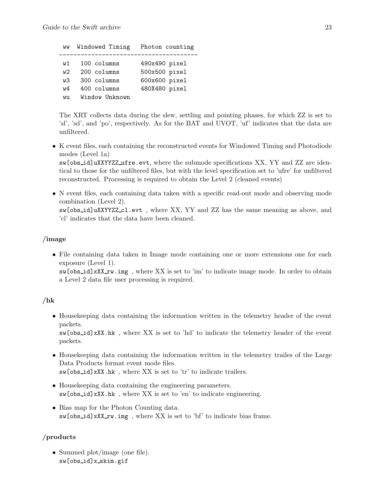ww Windowed Timing Photon counting -------------------------------------- w1 100 columns 490x490 pixel w2 200 columns 500x500 pixel w3 300 columns 600x600 pixel w4 400 columns 480X480 pixel wu Window Unknown

The XRT collects data during the slew, settling and pointing phases, for which ZZ is set to 'sl', 'sd', and 'po', respectively. As for the BAT and UVOT, 'uf' indicates that the data are unfiltered.

• K event files, each containing the reconstructed events for Windowed Timing and Photodiode modes (Level 1a)

sw[obs id]uXXYYZZ ufre.evt, where the submode specifications XX, YY and ZZ are identical to those for the unfiltered files, but with the level specification set to 'ufre' for unfiltered reconstructed. Processing is required to obtain the Level 2 (cleaned events)

• N event files, each containing data taken with a specific read-out mode and observing mode combination (Level 2). sw[obs id]uXXYYZZ cl.evt , where XX, YY and ZZ has the same meaning as above, and

'cl' indicates that the data have been cleaned.

### /image

• File containing data taken in Image mode containing one or more extensions one for each exposure (Level 1). sw[obs\_id]xXX\_rw.img, where XX is set to 'im' to indicate image mode. In order to obtain

a Level 2 data file user processing is required.

### /hk

• Housekeeping data containing the information written in the telemetry header of the event packets.

sw[obs id]xXX.hk , where XX is set to 'hd' to indicate the telemetry header of the event packets.

- Housekeeping data containing the information written in the telemetry trailes of the Large Data Products format event mode files. sw[obs\_id]xXX.hk, where XX is set to 'tr' to indicate trailers.
- Housekeeping data containing the engineering parameters. sw[obs id]xXX.hk , where XX is set to 'en' to indicate engineering.
- Bias map for the Photon Counting data. sw[obs id]xXX rw.img , where XX is set to 'bf' to indicate bias frame.

## /products

• Summed plot/image (one file). sw[obs id]x skim.gif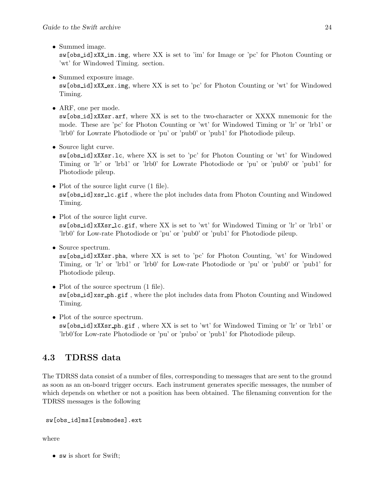• Summed image.

sw[obs id]xXX im.img, where XX is set to 'im' for Image or 'pc' for Photon Counting or 'wt' for Windowed Timing. section.

• Summed exposure image.

sw[obs id]xXX ex.img, where XX is set to 'pc' for Photon Counting or 'wt' for Windowed Timing.

• ARF, one per mode.

sw[obs id]xXXsr.arf, where XX is set to the two-character or XXXX mnemonic for the mode. These are 'pc' for Photon Counting or 'wt' for Windowed Timing or 'lr' or 'lrb1' or 'lrb0' for Lowrate Photodiode or 'pu' or 'pub0' or 'pub1' for Photodiode pileup.

• Source light curve.

sw[obs id]xXXsr.lc, where XX is set to 'pc' for Photon Counting or 'wt' for Windowed Timing or 'lr' or 'lrb1' or 'lrb0' for Lowrate Photodiode or 'pu' or 'pub0' or 'pub1' for Photodiode pileup.

- Plot of the source light curve  $(1$  file). sw[obs id]xsr lc.gif , where the plot includes data from Photon Counting and Windowed Timing.
- Plot of the source light curve. sw[obs id]xXXsr lc.gif, where XX is set to 'wt' for Windowed Timing or 'lr' or 'lrb1' or 'lrb0' for Low-rate Photodiode or 'pu' or 'pub0' or 'pub1' for Photodiode pileup.
- Source spectrum. sw[obs id]xXXsr.pha, where XX is set to 'pc' for Photon Counting, 'wt' for Windowed Timing, or 'lr' or 'lrb1' or 'lrb0' for Low-rate Photodiode or 'pu' or 'pub0' or 'pub1' for Photodiode pileup.
- Plot of the source spectrum  $(1$  file). sw[obs id]xsr ph.gif , where the plot includes data from Photon Counting and Windowed Timing.
- Plot of the source spectrum. sw[obs id]xXXsr ph.gif , where XX is set to 'wt' for Windowed Timing or 'lr' or 'lrb1' or 'lrb0'for Low-rate Photodiode or 'pu' or 'pubo' or 'pub1' for Photodiode pileup.

## 4.3 TDRSS data

The TDRSS data consist of a number of files, corresponding to messages that are sent to the ground as soon as an on-board trigger occurs. Each instrument generates specific messages, the number of which depends on whether or not a position has been obtained. The filenaming convention for the TDRSS messages is the following

```
sw[obs_id]msI[submodes].ext
```
where

• sw is short for Swift;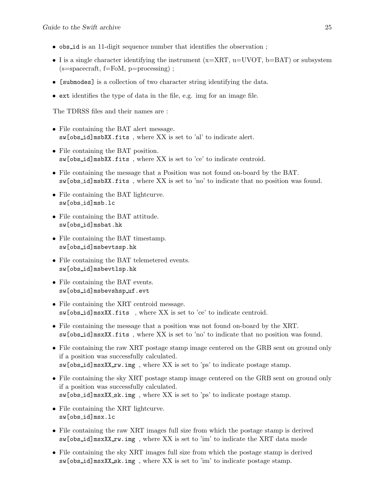- obs id is an 11-digit sequence number that identifies the observation ;
- I is a single character identifying the instrument  $(x= XRT, u=UVOT, b=BAT)$  or subsystem  $(s=spacecraft, f=FoM, p=processing)$ ;
- [submodes] is a collection of two character string identifying the data.
- ext identifies the type of data in the file, e.g. img for an image file.

The TDRSS files and their names are :

- File containing the BAT alert message. sw[obs id]msbXX.fits , where XX is set to 'al' to indicate alert.
- File containing the BAT position. sw[obs id]msbXX.fits , where XX is set to 'ce' to indicate centroid.
- File containing the message that a Position was not found on-board by the BAT. sw[obs id]msbXX.fits , where XX is set to 'no' to indicate that no position was found.
- File containing the BAT lightcurve. sw[obs id]msb.lc
- File containing the BAT attitude. sw[obs id]msbat.hk
- File containing the BAT timestamp. sw[obs id]msbevtssp.hk
- File containing the BAT telemetered events. sw[obs id]msbevtlsp.hk
- File containing the BAT events. sw[obs id]msbevshsp uf.evt
- File containing the XRT centroid message. sw[obs id]msxXX.fits , where XX is set to 'ce' to indicate centroid.
- File containing the message that a position was not found on-board by the XRT. sw[obs id]msxXX.fits , where XX is set to 'no' to indicate that no position was found.
- File containing the raw XRT postage stamp image centered on the GRB sent on ground only if a position was successfully calculated. sw[obs\_id]msxXX\_rw.img, where XX is set to 'ps' to indicate postage stamp.
- File containing the sky XRT postage stamp image centered on the GRB sent on ground only if a position was successfully calculated. sw[obs\_id]msxXX\_sk.img, where XX is set to 'ps' to indicate postage stamp.
- File containing the XRT lightcurve. sw[obs id]msx.lc
- File containing the raw XRT images full size from which the postage stamp is derived sw[obs\_id]msxXX\_rw.img, where XX is set to 'im' to indicate the XRT data mode
- File containing the sky XRT images full size from which the postage stamp is derived sw[obs\_id]msxXX\_sk.img, where XX is set to 'im' to indicate postage stamp.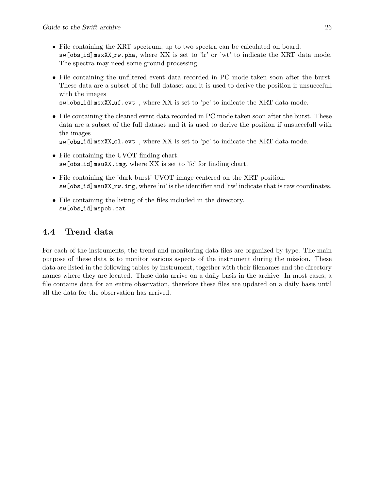- File containing the XRT spectrum, up to two spectra can be calculated on board.  $sw[obs_id]$ msxXX\_rw.pha, where XX is set to 'lr' or 'wt' to indicate the XRT data mode. The spectra may need some ground processing.
- File containing the unfiltered event data recorded in PC mode taken soon after the burst. These data are a subset of the full dataset and it is used to derive the position if unsuccefull with the images

sw[obs\_id]msxXX\_uf.evt, where XX is set to 'pc' to indicate the XRT data mode.

• File containing the cleaned event data recorded in PC mode taken soon after the burst. These data are a subset of the full dataset and it is used to derive the position if unsuccefull with the images

```
sw[obs id]msxXX cl.evt , where XX is set to 'pc' to indicate the XRT data mode.
```
- File containing the UVOT finding chart. sw[obs id]msuXX.img, where XX is set to 'fc' for finding chart.
- File containing the 'dark burst' UVOT image centered on the XRT position. sw[obs\_id]msuXX\_rw.img, where 'ni' is the identifier and 'rw' indicate that is raw coordinates.
- File containing the listing of the files included in the directory. sw[obs id]mspob.cat

## 4.4 Trend data

For each of the instruments, the trend and monitoring data files are organized by type. The main purpose of these data is to monitor various aspects of the instrument during the mission. These data are listed in the following tables by instrument, together with their filenames and the directory names where they are located. These data arrive on a daily basis in the archive. In most cases, a file contains data for an entire observation, therefore these files are updated on a daily basis until all the data for the observation has arrived.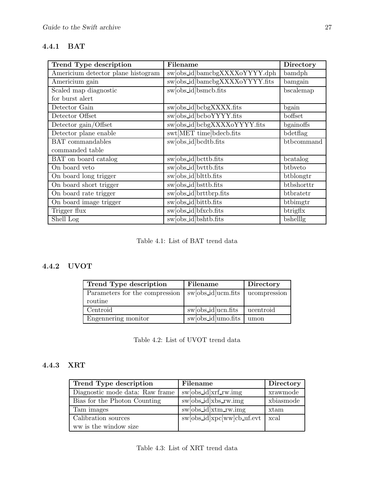## 4.4.1 BAT

| Trend Type description             | Filename                       | Directory  |
|------------------------------------|--------------------------------|------------|
| Americium detector plane histogram | swoods_idlbamcbgXXXXoYYYY.dph  | bamdph     |
| Americium gain                     | sw[obs_id]bamcbgXXXXoYYYY.fits | bamgain    |
| Scaled map diagnostic              | sw[obs_id]bsmcb.fits           | bscalemap  |
| for burst alert                    |                                |            |
| Detector Gain                      | sw[obs_id]bcbgXXXX.fits        | bgain      |
| Detector Offset                    | swobs_id bcboYYYY.fits         | boffset    |
| Detector gain/Offset               | sw[obs_id]bcbgXXXXoYYYY.fits   | bgainoffs  |
| Detector plane enable              | swt[MET time]bdecb.fits        | bdetflag   |
| <b>BAT</b> commandables            | sw[obs_id]bcdtb.fits           | btbcommand |
| commanded table                    |                                |            |
| BAT on board catalog               | swobs_id]bcttb.fits            | bcatalog   |
| On board veto                      | sw[obs_id]bvttb.fits           | btbyeto    |
| On board long trigger              | sw[obs_id]blttb.fits           | btblongtr  |
| On board short trigger             | sw[obs_id]bsttb.fits           | btbshorttr |
| On board rate trigger              | sw[obs_id]brttbrp.fits         | btbratetr  |
| On board image trigger             | swobs_id bittb.fits            | btbimgtr   |
| Trigger flux                       | swobs_id]bfxcb.fits            | btrigflx   |
| Shell Log                          | sw[obs_id]bshtb.fits           | bshelllg   |

Table 4.1: List of BAT trend data

## 4.4.2 UVOT

| Trend Type description         | Filename                                                    | Directory    |
|--------------------------------|-------------------------------------------------------------|--------------|
| Parameters for the compression | swobs_id ucm.fits                                           | ucompression |
| routine                        |                                                             |              |
| Centroid                       | swobs_id ucn.fits                                           | ucentroid    |
| Engennering monitor            | $\overline{\text{sw} \text{obs}_\text{l} \text{umo}.}$ fits | umon         |

Table 4.2: List of UVOT trend data

### 4.4.3 XRT

| Trend Type description          | Filename                   | Directory |
|---------------------------------|----------------------------|-----------|
| Diagnostic mode data: Raw frame | sw[obs_id]xrf_rw.img       | xrawmode  |
| Bias for the Photon Counting    | $sw[obs_id]xbs_rwimg$      | xbiasmode |
| Tam images                      | sw[obs_id]xtm_rw.img       | xtam      |
| Calibration sources             | sw[obs_id]xpc[ww]cb_uf.evt | xcal      |
| ww is the window size           |                            |           |

Table 4.3: List of XRT trend data